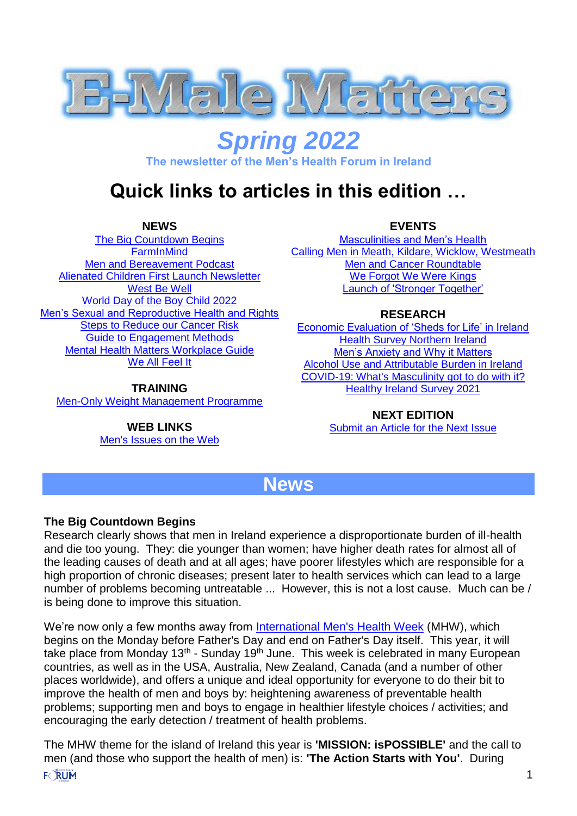

# *Spring 2022*

**The newsletter of the Men's Health Forum in Ireland**

## **Quick links to articles in this edition …**

**NEWS**

<span id="page-0-1"></span>[The Big Countdown Begins](#page-0-0) **[FarmInMind](#page-1-0)** [Men and Bereavement Podcast](#page-1-1) [Alienated Children First Launch Newsletter](#page-1-2) [West Be Well](#page-1-3) [World Day of the Boy Child 2022](#page-1-4) [Men's Sexual and Reproductive Health and Rights](#page-1-5) [Steps to Reduce our Cancer Risk](#page-2-0) [Guide to Engagement Methods](#page-2-1) [Mental Health Matters Workplace Guide](#page-2-2) [We All Feel It](#page-2-3)

**TRAINING**

[Men-Only Weight Management Programme](#page-3-0)

**WEB LINKS** [Men's Issues on the Web](#page-5-0) **EVENTS**

[Masculinities and Men's Health](#page-2-4) [Calling Men in Meath, Kildare, Wicklow,](#page-2-5) Westmeath [Men and Cancer Roundtable](#page-3-1) [We Forgot We Were Kings](#page-3-2) [Launch of 'Stronger Together'](#page-3-3)

#### **RESEARCH**

[Economic Evaluation of 'Sheds for Life' in Ireland](#page-4-0) [Health Survey Northern Ireland](#page-4-1) [Men's Anxiety and Why it Matters](#page-4-2) [Alcohol Use and Attributable Burden in Ireland](#page-4-3) [COVID-19: What's Masculinity got to do with it?](#page-4-4) [Healthy Ireland Survey 2021](#page-4-5)

> **NEXT EDITION** [Submit an Article for the Next Issue](#page-5-1)

### **News**

### <span id="page-0-0"></span>**The Big Countdown Begins**

Research clearly shows that men in Ireland experience a disproportionate burden of ill-health and die too young. They: die younger than women; have higher death rates for almost all of the leading causes of death and at all ages; have poorer lifestyles which are responsible for a high proportion of chronic diseases; present later to health services which can lead to a large number of problems becoming untreatable ... However, this is not a lost cause. Much can be / is being done to improve this situation.

We're now only a few months away from International Men's Health Week (MHW), which begins on the Monday before Father's Day and end on Father's Day itself. This year, it will take place from Monday 13<sup>th</sup> - Sunday 19<sup>th</sup> June. This week is celebrated in many European countries, as well as in the USA, Australia, New Zealand, Canada (and a number of other places worldwide), and offers a unique and ideal opportunity for everyone to do their bit to improve the health of men and boys by: heightening awareness of preventable health problems; supporting men and boys to engage in healthier lifestyle choices / activities; and encouraging the early detection / treatment of health problems.

The MHW theme for the island of Ireland this year is **'MISSION: isPOSSIBLE'** and the call to men (and those who support the health of men) is: **'The Action Starts with You'**. During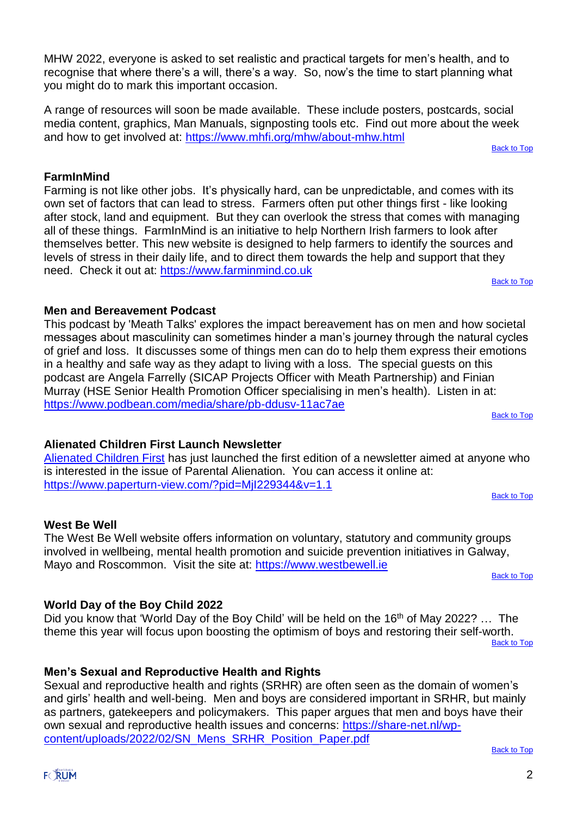MHW 2022, everyone is asked to set realistic and practical targets for men's health, and to recognise that where there's a will, there's a way. So, now's the time to start planning what you might do to mark this important occasion.

A range of resources will soon be made available. These include posters, postcards, social media content, graphics, Man Manuals, signposting tools etc. Find out more about the week and how to get involved at: https://www.mhfi.org/mhw/about-mhw.html

[Back to Top](#page-0-1)

#### <span id="page-1-0"></span>**FarmInMind**

Farming is not like other jobs. It's physically hard, can be unpredictable, and comes with its own set of factors that can lead to stress. Farmers often put other things first - like looking after stock, land and equipment. But they can overlook the stress that comes with managing all of these things. FarmInMind is an initiative to help Northern Irish farmers to look after themselves better. This new website is designed to help farmers to identify the sources and levels of stress in their daily life, and to direct them towards the help and support that they need. Check it out at: https://www.farminmind.co.uk [Back to Top](#page-0-1)

#### <span id="page-1-1"></span>**Men and Bereavement Podcast**

This podcast by 'Meath Talks' explores the impact bereavement has on men and how societal messages about masculinity can sometimes hinder a man's journey through the natural cycles of grief and loss. It discusses some of things men can do to help them express their emotions in a healthy and safe way as they adapt to living with a loss. The special guests on this podcast are Angela Farrelly (SICAP Projects Officer with Meath Partnership) and Finian Murray (HSE Senior Health Promotion Officer specialising in men's health). Listen in at: https://www.podbean.com/media/share/pb-ddusv-11ac7ae [Back to Top](#page-0-1)

#### <span id="page-1-2"></span>**Alienated Children First Launch Newsletter**

Alienated Children First has just launched the first edition of a newsletter aimed at anyone who is interested in the issue of Parental Alienation. You can access it online at: https://www.paperturn-view.com/?pid=MjI229344&v=1.1

[Back to Top](#page-0-1)

#### <span id="page-1-3"></span>**West Be Well**

The West Be Well website offers information on voluntary, statutory and community groups involved in wellbeing, mental health promotion and suicide prevention initiatives in Galway, Mayo and Roscommon. Visit the site at: https://www.westbewell.ie

[Back to Top](#page-0-1)

### <span id="page-1-4"></span>**World Day of the Boy Child 2022**

Did you know that 'World Day of the Boy Child' will be held on the 16<sup>th</sup> of May 2022? ... The theme this year will focus upon boosting the optimism of boys and restoring their self-worth. [Back to Top](#page-0-1)

<span id="page-1-5"></span>**Men's Sexual and Reproductive Health and Rights**

Sexual and reproductive health and rights (SRHR) are often seen as the domain of women's and girls' health and well-being. Men and boys are considered important in SRHR, but mainly as partners, gatekeepers and policymakers. This paper argues that men and boys have their own sexual and reproductive health issues and concerns: https://share-net.nl/wpcontent/uploads/2022/02/SN\_Mens\_SRHR\_Position\_Paper.pdf

[Back to Top](#page-0-1)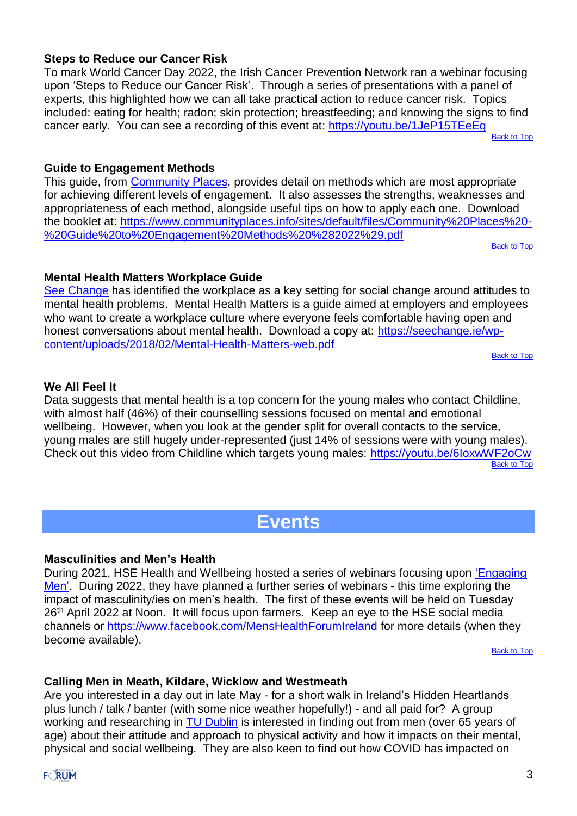#### <span id="page-2-0"></span>**Steps to Reduce our Cancer Risk**

To mark World Cancer Day 2022, the Irish Cancer Prevention Network ran a webinar focusing upon 'Steps to Reduce our Cancer Risk'. Through a series of presentations with a panel of experts, this highlighted how we can all take practical action to reduce cancer risk. Topics included: eating for health; radon; skin protection; breastfeeding; and knowing the signs to find cancer early. You can see a recording of this event at: https://youtu.be/1JeP15TEeEg

[Back to Top](#page-0-1)

#### <span id="page-2-1"></span>**Guide to Engagement Methods**

This guide, from Community Places, provides detail on methods which are most appropriate for achieving different levels of engagement. It also assesses the strengths, weaknesses and appropriateness of each method, alongside useful tips on how to apply each one. Download the booklet at: https://www.communityplaces.info/sites/default/files/Community%20Places%20- %20Guide%20to%20Engagement%20Methods%20%282022%29.pdf

[Back to Top](#page-0-1)

#### <span id="page-2-2"></span>**Mental Health Matters Workplace Guide**

See Change has identified the workplace as a key setting for social change around attitudes to mental health problems. Mental Health Matters is a guide aimed at employers and employees who want to create a workplace culture where everyone feels comfortable having open and honest conversations about mental health. Download a copy at: https://seechange.ie/wpcontent/uploads/2018/02/Mental-Health-Matters-web.pdf

**[Back to Top](#page-0-1)** 

#### <span id="page-2-3"></span>**We All Feel It**

Data suggests that mental health is a top concern for the young males who contact Childline, with almost half (46%) of their counselling sessions focused on mental and emotional wellbeing. However, when you look at the gender split for overall contacts to the service, young males are still hugely under-represented (just 14% of sessions were with young males). Check out this video from Childline which targets young males: https://youtu.be/6IoxwWF2oCw [Back to Top](#page-0-1)

### **Events**

#### <span id="page-2-4"></span>**Masculinities and Men's Health**

During 2021, HSE Health and Wellbeing hosted a series of webinars focusing upon 'Engaging Men'. During 2022, they have planned a further series of webinars - this time exploring the impact of masculinity/ies on men's health. The first of these events will be held on Tuesday 26<sup>th</sup> April 2022 at Noon. It will focus upon farmers. Keep an eye to the HSE social media channels or https://www.facebook.com/MensHealthForumIreland for more details (when they become available).

[Back to Top](#page-0-1)

#### <span id="page-2-5"></span>**Calling Men in Meath, Kildare, Wicklow and Westmeath**

Are you interested in a day out in late May - for a short walk in Ireland's Hidden Heartlands plus lunch / talk / banter (with some nice weather hopefully!) - and all paid for? A group working and researching in TU Dublin is interested in finding out from men (over 65 years of age) about their attitude and approach to physical activity and how it impacts on their mental, physical and social wellbeing. They are also keen to find out how COVID has impacted on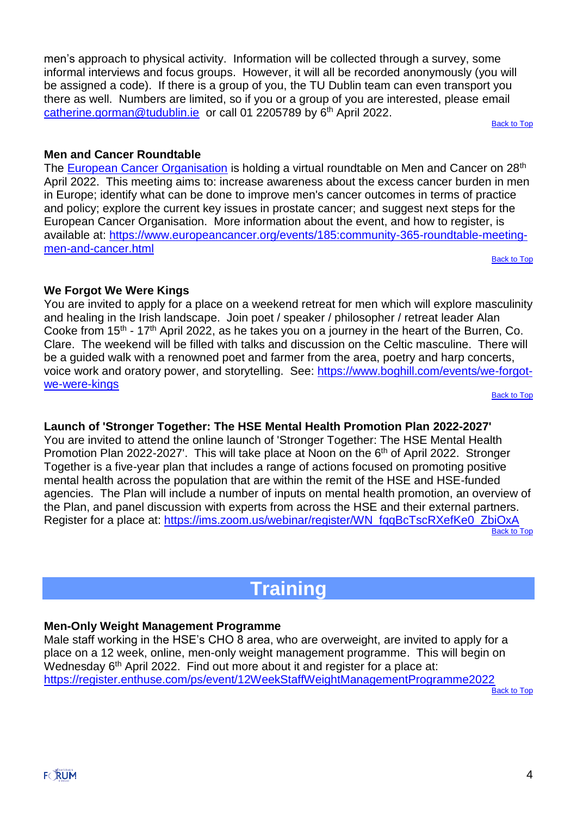men's approach to physical activity. Information will be collected through a survey, some informal interviews and focus groups. However, it will all be recorded anonymously (you will be assigned a code). If there is a group of you, the TU Dublin team can even transport you there as well. Numbers are limited, so if you or a group of you are interested, please email catherine.gorman@tudublin.ie or call 01 2205789 by 6<sup>th</sup> April 2022.

[Back to Top](#page-0-1)

#### <span id="page-3-1"></span>**Men and Cancer Roundtable**

The European Cancer Organisation is holding a virtual roundtable on Men and Cancer on 28<sup>th</sup> April 2022. This meeting aims to: increase awareness about the excess cancer burden in men in Europe; identify what can be done to improve men's cancer outcomes in terms of practice and policy; explore the current key issues in prostate cancer; and suggest next steps for the European Cancer Organisation. More information about the event, and how to register, is available at: https://www.europeancancer.org/events/185:community-365-roundtable-meetingmen-and-cancer.html

**[Back to Top](#page-0-1)** 

#### <span id="page-3-2"></span>**We Forgot We Were Kings**

You are invited to apply for a place on a weekend retreat for men which will explore masculinity and healing in the Irish landscape. Join poet / speaker / philosopher / retreat leader Alan Cooke from  $15<sup>th</sup>$  - 17<sup>th</sup> April 2022, as he takes you on a journey in the heart of the Burren, Co. Clare. The weekend will be filled with talks and discussion on the Celtic masculine. There will be a guided walk with a renowned poet and farmer from the area, poetry and harp concerts, voice work and oratory power, and storytelling. See: https://www.boghill.com/events/we-forgotwe-were-kings

**[Back to Top](#page-0-1)** 

#### <span id="page-3-3"></span>**Launch of 'Stronger Together: The HSE Mental Health Promotion Plan 2022-2027'**

You are invited to attend the online launch of 'Stronger Together: The HSE Mental Health Promotion Plan 2022-2027'. This will take place at Noon on the 6<sup>th</sup> of April 2022. Stronger Together is a five-year plan that includes a range of actions focused on promoting positive mental health across the population that are within the remit of the HSE and HSE-funded agencies. The Plan will include a number of inputs on mental health promotion, an overview of the Plan, and panel discussion with experts from across the HSE and their external partners. Register for a place at: https://ims.zoom.us/webinar/register/WN\_fqqBcTscRXefKe0\_ZbiOxA [Back to Top](#page-0-1)

### **Training**

#### <span id="page-3-0"></span>**Men-Only Weight Management Programme**

Male staff working in the HSE's CHO 8 area, who are overweight, are invited to apply for a place on a 12 week, online, men-only weight management programme. This will begin on Wednesday 6<sup>th</sup> April 2022. Find out more about it and register for a place at: https://register.enthuse.com/ps/event/12WeekStaffWeightManagementProgramme2022

**[Back to Top](#page-0-1)**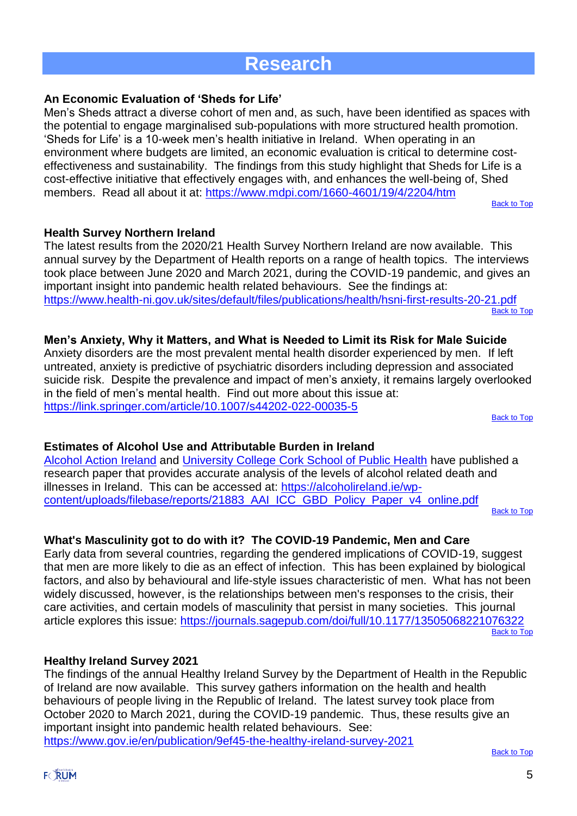### **Research**

#### <span id="page-4-0"></span>**An Economic Evaluation of 'Sheds for Life'**

Men's Sheds attract a diverse cohort of men and, as such, have been identified as spaces with the potential to engage marginalised sub-populations with more structured health promotion. 'Sheds for Life' is a 10-week men's health initiative in Ireland. When operating in an environment where budgets are limited, an economic evaluation is critical to determine costeffectiveness and sustainability. The findings from this study highlight that Sheds for Life is a cost-effective initiative that effectively engages with, and enhances the well-being of, Shed members. Read all about it at: https://www.mdpi.com/1660-4601/19/4/2204/htm

[Back to Top](#page-0-1)

#### <span id="page-4-1"></span>**Health Survey Northern Ireland**

The latest results from the 2020/21 Health Survey Northern Ireland are now available. This annual survey by the Department of Health reports on a range of health topics. The interviews took place between June 2020 and March 2021, during the COVID-19 pandemic, and gives an important insight into pandemic health related behaviours. See the findings at: https://www.health-ni.gov.uk/sites/default/files/publications/health/hsni-first-results-20-21.pdf [Back to Top](#page-0-1)

### <span id="page-4-2"></span>**Men's Anxiety, Why it Matters, and What is Needed to Limit its Risk for Male Suicide**

Anxiety disorders are the most prevalent mental health disorder experienced by men. If left untreated, anxiety is predictive of psychiatric disorders including depression and associated suicide risk. Despite the prevalence and impact of men's anxiety, it remains largely overlooked in the field of men's mental health. Find out more about this issue at: https://link.springer.com/article/10.1007/s44202-022-00035-5

**[Back to Top](#page-0-1)** 

#### <span id="page-4-3"></span>**Estimates of Alcohol Use and Attributable Burden in Ireland**

Alcohol Action Ireland and University College Cork School of Public Health have published a research paper that provides accurate analysis of the levels of alcohol related death and illnesses in Ireland. This can be accessed at: https://alcoholireland.ie/wpcontent/uploads/filebase/reports/21883\_AAI\_ICC\_GBD\_Policy\_Paper\_v4\_online.pdf

[Back to Top](#page-0-1)

### <span id="page-4-4"></span>**What's Masculinity got to do with it? The COVID-19 Pandemic, Men and Care**

Early data from several countries, regarding the gendered implications of COVID-19, suggest that men are more likely to die as an effect of infection. This has been explained by biological factors, and also by behavioural and life-style issues characteristic of men. What has not been widely discussed, however, is the relationships between men's responses to the crisis, their care activities, and certain models of masculinity that persist in many societies. This journal article explores this issue: https://journals.sagepub.com/doi/full/10.1177/13505068221076322 [Back to Top](#page-0-1)

#### <span id="page-4-5"></span>**Healthy Ireland Survey 2021**

The findings of the annual Healthy Ireland Survey by the Department of Health in the Republic of Ireland are now available. This survey gathers information on the health and health behaviours of people living in the Republic of Ireland. The latest survey took place from October 2020 to March 2021, during the COVID-19 pandemic. Thus, these results give an important insight into pandemic health related behaviours. See: https://www.gov.ie/en/publication/9ef45-the-healthy-ireland-survey-2021